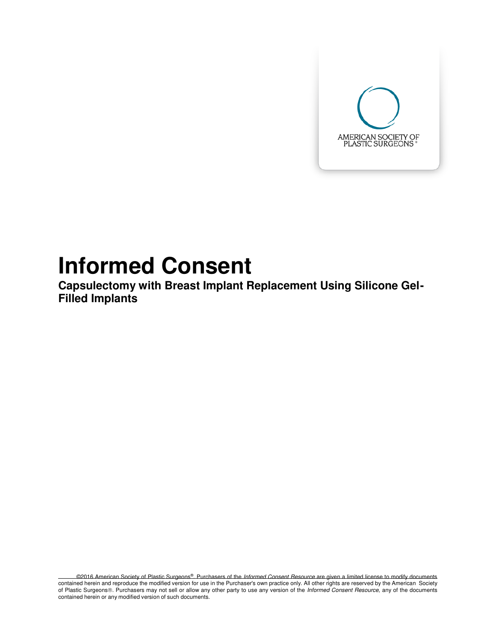

# **Informed Consent**

**Capsulectomy with Breast Implant Replacement Using Silicone Gel-Filled Implants** 

©2016 American Society of Plastic Surgeons®. Purchasers of the Informed Consent Resource are given a limited license to modify documents contained herein and reproduce the modified version for use in the Purchaser's own practice only. All other rights are reserved by the American Society of Plastic Surgeons®. Purchasers may not sell or allow any other party to use any version of the *Informed Consent Resource*, any of the documents contained herein or any modified version of such documents.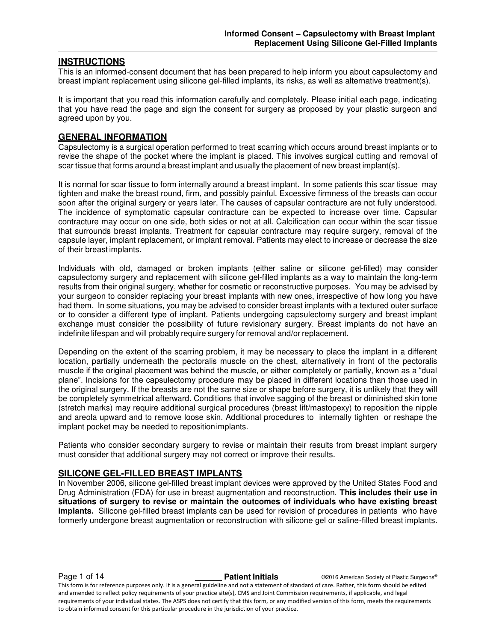# **INSTRUCTIONS**

This is an informed-consent document that has been prepared to help inform you about capsulectomy and breast implant replacement using silicone gel-filled implants, its risks, as well as alternative treatment(s).

It is important that you read this information carefully and completely. Please initial each page, indicating that you have read the page and sign the consent for surgery as proposed by your plastic surgeon and agreed upon by you.

# **GENERAL INFORMATION**

Capsulectomy is a surgical operation performed to treat scarring which occurs around breast implants or to revise the shape of the pocket where the implant is placed. This involves surgical cutting and removal of scar tissue that forms around a breast implant and usually the placement of new breast implant(s).

It is normal for scar tissue to form internally around a breast implant. In some patients this scar tissue may tighten and make the breast round, firm, and possibly painful. Excessive firmness of the breasts can occur soon after the original surgery or years later. The causes of capsular contracture are not fully understood. The incidence of symptomatic capsular contracture can be expected to increase over time. Capsular contracture may occur on one side, both sides or not at all. Calcification can occur within the scar tissue that surrounds breast implants. Treatment for capsular contracture may require surgery, removal of the capsule layer, implant replacement, or implant removal. Patients may elect to increase or decrease the size of their breast implants.

Individuals with old, damaged or broken implants (either saline or silicone gel-filled) may consider capsulectomy surgery and replacement with silicone gel-filled implants as a way to maintain the long-term results from their original surgery, whether for cosmetic or reconstructive purposes. You may be advised by your surgeon to consider replacing your breast implants with new ones, irrespective of how long you have had them. In some situations, you may be advised to consider breast implants with a textured outer surface or to consider a different type of implant. Patients undergoing capsulectomy surgery and breast implant exchange must consider the possibility of future revisionary surgery. Breast implants do not have an indefinite lifespan and will probably require surgery for removal and/or replacement.

Depending on the extent of the scarring problem, it may be necessary to place the implant in a different location, partially underneath the pectoralis muscle on the chest, alternatively in front of the pectoralis muscle if the original placement was behind the muscle, or either completely or partially, known as a "dual plane". Incisions for the capsulectomy procedure may be placed in different locations than those used in the original surgery. If the breasts are not the same size or shape before surgery, it is unlikely that they will be completely symmetrical afterward. Conditions that involve sagging of the breast or diminished skin tone (stretch marks) may require additional surgical procedures (breast lift/mastopexy) to reposition the nipple and areola upward and to remove loose skin. Additional procedures to internally tighten or reshape the implant pocket may be needed to reposition implants.

Patients who consider secondary surgery to revise or maintain their results from breast implant surgery must consider that additional surgery may not correct or improve their results.

#### **SILICONE GEL-FILLED BREAST IMPLANTS**

In November 2006, silicone gel-filled breast implant devices were approved by the United States Food and Drug Administration (FDA) for use in breast augmentation and reconstruction. **This includes their use in situations of surgery to revise or maintain the outcomes of individuals who have existing breast implants.** Silicone gel-filled breast implants can be used for revision of procedures in patients who have formerly undergone breast augmentation or reconstruction with silicone gel or saline-filled breast implants.

**Page 1 of 14 Patient Initials Patient Initials C2016 American Society of Plastic Surgeons®** 

This form is for reference purposes only. It is a general guideline and not a statement of standard of care. Rather, this form should be edited and amended to reflect policy requirements of your practice site(s), CMS and Joint Commission requirements, if applicable, and legal requirements of your individual states. The ASPS does not certify that this form, or any modified version of this form, meets the requirements to obtain informed consent for this particular procedure in the jurisdiction of your practice.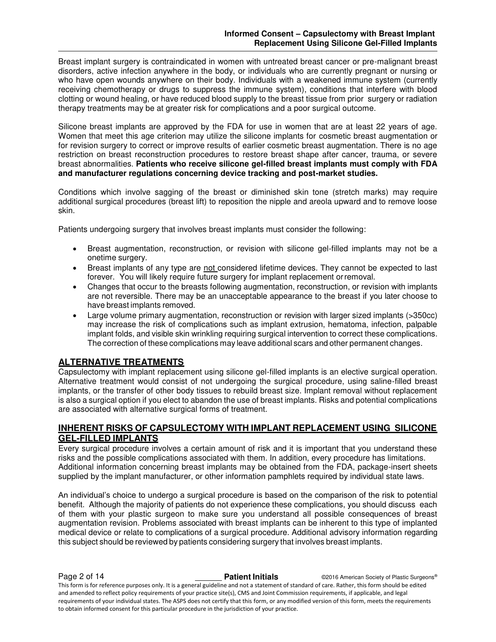Breast implant surgery is contraindicated in women with untreated breast cancer or pre-malignant breast disorders, active infection anywhere in the body, or individuals who are currently pregnant or nursing or who have open wounds anywhere on their body. Individuals with a weakened immune system (currently receiving chemotherapy or drugs to suppress the immune system), conditions that interfere with blood clotting or wound healing, or have reduced blood supply to the breast tissue from prior surgery or radiation therapy treatments may be at greater risk for complications and a poor surgical outcome.

Silicone breast implants are approved by the FDA for use in women that are at least 22 years of age. Women that meet this age criterion may utilize the silicone implants for cosmetic breast augmentation or for revision surgery to correct or improve results of earlier cosmetic breast augmentation. There is no age restriction on breast reconstruction procedures to restore breast shape after cancer, trauma, or severe breast abnormalities. **Patients who receive silicone gel-filled breast implants must comply with FDA and manufacturer regulations concerning device tracking and post-market studies.** 

Conditions which involve sagging of the breast or diminished skin tone (stretch marks) may require additional surgical procedures (breast lift) to reposition the nipple and areola upward and to remove loose skin.

Patients undergoing surgery that involves breast implants must consider the following:

- Breast augmentation, reconstruction, or revision with silicone gel-filled implants may not be a onetime surgery.
- Breast implants of any type are not considered lifetime devices. They cannot be expected to last forever. You will likely require future surgery for implant replacement or removal.
- Changes that occur to the breasts following augmentation, reconstruction, or revision with implants are not reversible. There may be an unacceptable appearance to the breast if you later choose to have breast implants removed.
- Large volume primary augmentation, reconstruction or revision with larger sized implants (>350cc) may increase the risk of complications such as implant extrusion, hematoma, infection, palpable implant folds, and visible skin wrinkling requiring surgical intervention to correct these complications. The correction of these complications may leave additional scars and other permanent changes.

# **ALTERNATIVE TREATMENTS**

Capsulectomy with implant replacement using silicone gel-filled implants is an elective surgical operation. Alternative treatment would consist of not undergoing the surgical procedure, using saline-filled breast implants, or the transfer of other body tissues to rebuild breast size. Implant removal without replacement is also a surgical option if you elect to abandon the use of breast implants. Risks and potential complications are associated with alternative surgical forms of treatment.

# **INHERENT RISKS OF CAPSULECTOMY WITH IMPLANT REPLACEMENT USING SILICONE GEL-FILLED IMPLANTS**

Every surgical procedure involves a certain amount of risk and it is important that you understand these risks and the possible complications associated with them. In addition, every procedure has limitations. Additional information concerning breast implants may be obtained from the FDA, package-insert sheets supplied by the implant manufacturer, or other information pamphlets required by individual state laws.

An individual's choice to undergo a surgical procedure is based on the comparison of the risk to potential benefit. Although the majority of patients do not experience these complications, you should discuss each of them with your plastic surgeon to make sure you understand all possible consequences of breast augmentation revision. Problems associated with breast implants can be inherent to this type of implanted medical device or relate to complications of a surgical procedure. Additional advisory information regarding this subject should be reviewed by patients considering surgery that involves breast implants.

**Page 2 of 14 Patient Initials Patient Initials C2016 American Society of Plastic Surgeons®** This form is for reference purposes only. It is a general guideline and not a statement of standard of care. Rather, this form should be edited and amended to reflect policy requirements of your practice site(s), CMS and Joint Commission requirements, if applicable, and legal requirements of your individual states. The ASPS does not certify that this form, or any modified version of this form, meets the requirements to obtain informed consent for this particular procedure in the jurisdiction of your practice.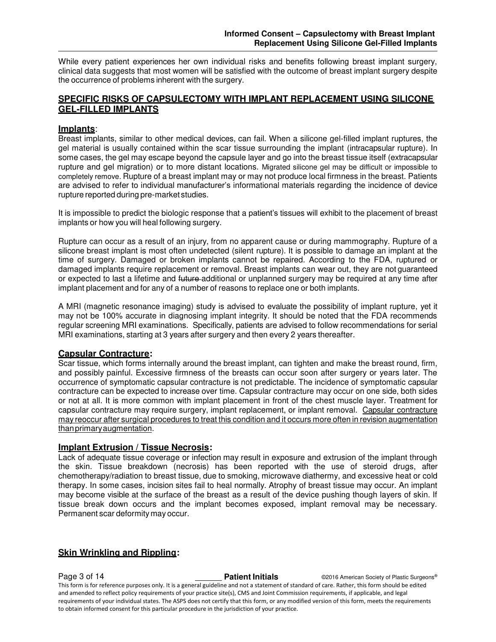While every patient experiences her own individual risks and benefits following breast implant surgery, clinical data suggests that most women will be satisfied with the outcome of breast implant surgery despite the occurrence of problems inherent with the surgery.

# **SPECIFIC RISKS OF CAPSULECTOMY WITH IMPLANT REPLACEMENT USING SILICONE GEL-FILLED IMPLANTS**

# **Implants**:

Breast implants, similar to other medical devices, can fail. When a silicone gel-filled implant ruptures, the gel material is usually contained within the scar tissue surrounding the implant (intracapsular rupture). In some cases, the gel may escape beyond the capsule layer and go into the breast tissue itself (extracapsular rupture and gel migration) or to more distant locations. Migrated silicone gel may be difficult or impossible to completely remove. Rupture of a breast implant may or may not produce local firmness in the breast. Patients are advised to refer to individual manufacturer's informational materials regarding the incidence of device rupture reported during pre-market studies.

It is impossible to predict the biologic response that a patient's tissues will exhibit to the placement of breast implants or how you will heal following surgery.

Rupture can occur as a result of an injury, from no apparent cause or during mammography. Rupture of a silicone breast implant is most often undetected (silent rupture). It is possible to damage an implant at the time of surgery. Damaged or broken implants cannot be repaired. According to the FDA, ruptured or damaged implants require replacement or removal. Breast implants can wear out, they are not guaranteed or expected to last a lifetime and future-additional or unplanned surgery may be required at any time after implant placement and for any of a number of reasons to replace one or both implants.

A MRI (magnetic resonance imaging) study is advised to evaluate the possibility of implant rupture, yet it may not be 100% accurate in diagnosing implant integrity. It should be noted that the FDA recommends regular screening MRI examinations. Specifically, patients are advised to follow recommendations for serial MRI examinations, starting at 3 years after surgery and then every 2 years thereafter.

# **Capsular Contracture:**

Scar tissue, which forms internally around the breast implant, can tighten and make the breast round, firm, and possibly painful. Excessive firmness of the breasts can occur soon after surgery or years later. The occurrence of symptomatic capsular contracture is not predictable. The incidence of symptomatic capsular contracture can be expected to increase over time. Capsular contracture may occur on one side, both sides or not at all. It is more common with implant placement in front of the chest muscle layer. Treatment for capsular contracture may require surgery, implant replacement, or implant removal. Capsular contracture may reoccur after surgical procedures to treat this condition and it occurs more often in revision augmentation than primary augmentation.

# **Implant Extrusion / Tissue Necrosis:**

Lack of adequate tissue coverage or infection may result in exposure and extrusion of the implant through the skin. Tissue breakdown (necrosis) has been reported with the use of steroid drugs, after chemotherapy/radiation to breast tissue, due to smoking, microwave diathermy, and excessive heat or cold therapy. In some cases, incision sites fail to heal normally. Atrophy of breast tissue may occur. An implant may become visible at the surface of the breast as a result of the device pushing though layers of skin. If tissue break down occurs and the implant becomes exposed, implant removal may be necessary. Permanent scar deformity may occur.

# **Skin Wrinkling and Rippling:**

**Page 3 of 14 Patient Initials Patient Initials C2016 American Society of Plastic Surgeons®** This form is for reference purposes only. It is a general guideline and not a statement of standard of care. Rather, this form should be edited and amended to reflect policy requirements of your practice site(s), CMS and Joint Commission requirements, if applicable, and legal requirements of your individual states. The ASPS does not certify that this form, or any modified version of this form, meets the requirements to obtain informed consent for this particular procedure in the jurisdiction of your practice.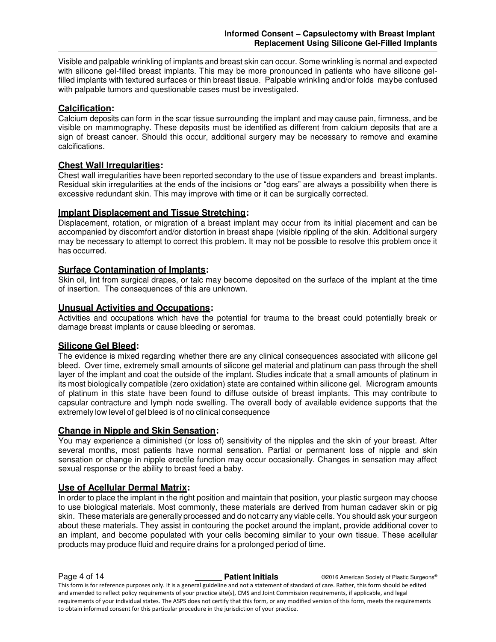Visible and palpable wrinkling of implants and breast skin can occur. Some wrinkling is normal and expected with silicone gel-filled breast implants. This may be more pronounced in patients who have silicone gelfilled implants with textured surfaces or thin breast tissue. Palpable wrinkling and/or folds may be confused with palpable tumors and questionable cases must be investigated.

# **Calcification:**

Calcium deposits can form in the scar tissue surrounding the implant and may cause pain, firmness, and be visible on mammography. These deposits must be identified as different from calcium deposits that are a sign of breast cancer. Should this occur, additional surgery may be necessary to remove and examine calcifications.

# **Chest Wall Irregularities:**

Chest wall irregularities have been reported secondary to the use of tissue expanders and breast implants. Residual skin irregularities at the ends of the incisions or "dog ears" are always a possibility when there is excessive redundant skin. This may improve with time or it can be surgically corrected.

# **Implant Displacement and Tissue Stretching:**

Displacement, rotation, or migration of a breast implant may occur from its initial placement and can be accompanied by discomfort and/or distortion in breast shape (visible rippling of the skin. Additional surgery may be necessary to attempt to correct this problem. It may not be possible to resolve this problem once it has occurred.

# **Surface Contamination of Implants:**

Skin oil, lint from surgical drapes, or talc may become deposited on the surface of the implant at the time of insertion. The consequences of this are unknown.

# **Unusual Activities and Occupations:**

Activities and occupations which have the potential for trauma to the breast could potentially break or damage breast implants or cause bleeding or seromas.

# **Silicone Gel Bleed:**

The evidence is mixed regarding whether there are any clinical consequences associated with silicone gel bleed. Over time, extremely small amounts of silicone gel material and platinum can pass through the shell layer of the implant and coat the outside of the implant. Studies indicate that a small amounts of platinum in its most biologically compatible (zero oxidation) state are contained within silicone gel. Microgram amounts of platinum in this state have been found to diffuse outside of breast implants. This may contribute to capsular contracture and lymph node swelling. The overall body of available evidence supports that the extremely low level of gel bleed is of no clinical consequence

#### **Change in Nipple and Skin Sensation:**

You may experience a diminished (or loss of) sensitivity of the nipples and the skin of your breast. After several months, most patients have normal sensation. Partial or permanent loss of nipple and skin sensation or change in nipple erectile function may occur occasionally. Changes in sensation may affect sexual response or the ability to breast feed a baby.

# **Use of Acellular Dermal Matrix:**

In order to place the implant in the right position and maintain that position, your plastic surgeon may choose to use biological materials. Most commonly, these materials are derived from human cadaver skin or pig skin. These materials are generally processed and do not carry any viable cells. You should ask your surgeon about these materials. They assist in contouring the pocket around the implant, provide additional cover to an implant, and become populated with your cells becoming similar to your own tissue. These acellular products may produce fluid and require drains for a prolonged period of time.

**Page 4 of 14 Patient Initials Patient Initials C2016 American Society of Plastic Surgeons®** This form is for reference purposes only. It is a general guideline and not a statement of standard of care. Rather, this form should be edited and amended to reflect policy requirements of your practice site(s), CMS and Joint Commission requirements, if applicable, and legal requirements of your individual states. The ASPS does not certify that this form, or any modified version of this form, meets the requirements to obtain informed consent for this particular procedure in the jurisdiction of your practice.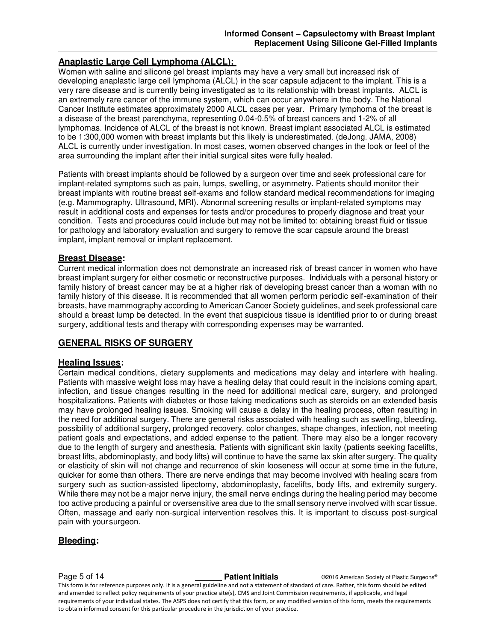# **Anaplastic Large Cell Lymphoma (ALCL):**

Women with saline and silicone gel breast implants may have a very small but increased risk of developing anaplastic large cell lymphoma (ALCL) in the scar capsule adjacent to the implant. This is a very rare disease and is currently being investigated as to its relationship with breast implants. ALCL is an extremely rare cancer of the immune system, which can occur anywhere in the body. The National Cancer Institute estimates approximately 2000 ALCL cases per year. Primary lymphoma of the breast is a disease of the breast parenchyma, representing 0.04-0.5% of breast cancers and 1-2% of all lymphomas. Incidence of ALCL of the breast is not known. Breast implant associated ALCL is estimated to be 1:300,000 women with breast implants but this likely is underestimated. (deJong. JAMA, 2008) ALCL is currently under investigation. In most cases, women observed changes in the look or feel of the area surrounding the implant after their initial surgical sites were fully healed.

Patients with breast implants should be followed by a surgeon over time and seek professional care for implant-related symptoms such as pain, lumps, swelling, or asymmetry. Patients should monitor their breast implants with routine breast self-exams and follow standard medical recommendations for imaging (e.g. Mammography, Ultrasound, MRI). Abnormal screening results or implant-related symptoms may result in additional costs and expenses for tests and/or procedures to properly diagnose and treat your condition. Tests and procedures could include but may not be limited to: obtaining breast fluid or tissue for pathology and laboratory evaluation and surgery to remove the scar capsule around the breast implant, implant removal or implant replacement.

# **Breast Disease:**

Current medical information does not demonstrate an increased risk of breast cancer in women who have breast implant surgery for either cosmetic or reconstructive purposes. Individuals with a personal history or family history of breast cancer may be at a higher risk of developing breast cancer than a woman with no family history of this disease. It is recommended that all women perform periodic self-examination of their breasts, have mammography according to American Cancer Society guidelines, and seek professional care should a breast lump be detected. In the event that suspicious tissue is identified prior to or during breast surgery, additional tests and therapy with corresponding expenses may be warranted.

# **GENERAL RISKS OF SURGERY**

# **Healing Issues:**

Certain medical conditions, dietary supplements and medications may delay and interfere with healing. Patients with massive weight loss may have a healing delay that could result in the incisions coming apart, infection, and tissue changes resulting in the need for additional medical care, surgery, and prolonged hospitalizations. Patients with diabetes or those taking medications such as steroids on an extended basis may have prolonged healing issues. Smoking will cause a delay in the healing process, often resulting in the need for additional surgery. There are general risks associated with healing such as swelling, bleeding, possibility of additional surgery, prolonged recovery, color changes, shape changes, infection, not meeting patient goals and expectations, and added expense to the patient. There may also be a longer recovery due to the length of surgery and anesthesia. Patients with significant skin laxity (patients seeking facelifts, breast lifts, abdominoplasty, and body lifts) will continue to have the same lax skin after surgery. The quality or elasticity of skin will not change and recurrence of skin looseness will occur at some time in the future, quicker for some than others. There are nerve endings that may become involved with healing scars from surgery such as suction-assisted lipectomy, abdominoplasty, facelifts, body lifts, and extremity surgery. While there may not be a major nerve injury, the small nerve endings during the healing period may become too active producing a painful or oversensitive area due to the small sensory nerve involved with scar tissue. Often, massage and early non-surgical intervention resolves this. It is important to discuss post-surgical pain with your surgeon.

# **Bleeding:**

#### **Page 5 of 14 Patient Initials Patient Initials C2016 American Society of Plastic Surgeons®**

This form is for reference purposes only. It is a general guideline and not a statement of standard of care. Rather, this form should be edited and amended to reflect policy requirements of your practice site(s), CMS and Joint Commission requirements, if applicable, and legal requirements of your individual states. The ASPS does not certify that this form, or any modified version of this form, meets the requirements to obtain informed consent for this particular procedure in the jurisdiction of your practice.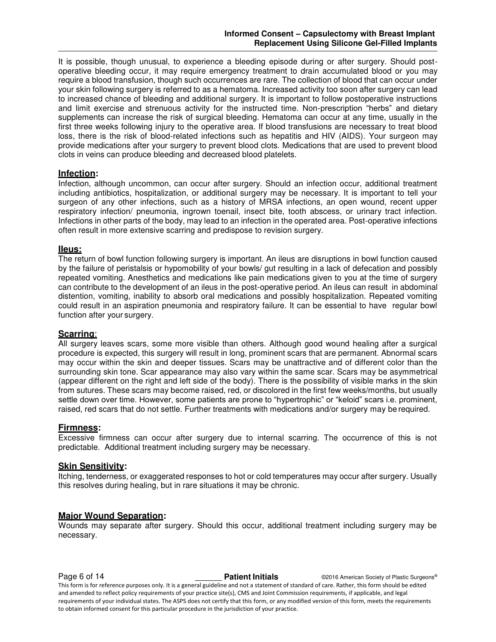It is possible, though unusual, to experience a bleeding episode during or after surgery. Should postoperative bleeding occur, it may require emergency treatment to drain accumulated blood or you may require a blood transfusion, though such occurrences are rare. The collection of blood that can occur under your skin following surgery is referred to as a hematoma. Increased activity too soon after surgery can lead to increased chance of bleeding and additional surgery. It is important to follow postoperative instructions and limit exercise and strenuous activity for the instructed time. Non-prescription "herbs" and dietary supplements can increase the risk of surgical bleeding. Hematoma can occur at any time, usually in the first three weeks following injury to the operative area. If blood transfusions are necessary to treat blood loss, there is the risk of blood-related infections such as hepatitis and HIV (AIDS). Your surgeon may provide medications after your surgery to prevent blood clots. Medications that are used to prevent blood clots in veins can produce bleeding and decreased blood platelets.

# **Infection:**

Infection, although uncommon, can occur after surgery. Should an infection occur, additional treatment including antibiotics, hospitalization, or additional surgery may be necessary. It is important to tell your surgeon of any other infections, such as a history of MRSA infections, an open wound, recent upper respiratory infection/ pneumonia, ingrown toenail, insect bite, tooth abscess, or urinary tract infection. Infections in other parts of the body, may lead to an infection in the operated area. Post-operative infections often result in more extensive scarring and predispose to revision surgery.

#### **IIeus:**

The return of bowl function following surgery is important. An ileus are disruptions in bowl function caused by the failure of [peristalsis](https://en.wikipedia.org/wiki/Peristalsis) or hypomobility of your bowls/ gut resulting in a lack of defecation and possibly repeated vomiting. Anesthetics and medications like pain medications given to you at the time of surgery can contribute to the development of an ileus in the post-operative period. An ileus can result in abdominal distention, vomiting, inability to absorb oral medications and possibly hospitalization. Repeated vomiting could result in an aspiration pneumonia and respiratory failure. It can be essential to have regular bowl function after your surgery.

#### **Scarring**:

All surgery leaves scars, some more visible than others. Although good wound healing after a surgical procedure is expected, this surgery will result in long, prominent scars that are permanent. Abnormal scars may occur within the skin and deeper tissues. Scars may be unattractive and of different color than the surrounding skin tone. Scar appearance may also vary within the same scar. Scars may be asymmetrical (appear different on the right and left side of the body). There is the possibility of visible marks in the skin from sutures. These scars may become raised, red, or discolored in the first few weeks/months, but usually settle down over time. However, some patients are prone to "hypertrophic" or "keloid" scars i.e. prominent, raised, red scars that do not settle. Further treatments with medications and/or surgery may be required.

#### **Firmness:**

Excessive firmness can occur after surgery due to internal scarring. The occurrence of this is not predictable. Additional treatment including surgery may be necessary.

#### **Skin Sensitivity:**

Itching, tenderness, or exaggerated responses to hot or cold temperatures may occur after surgery. Usually this resolves during healing, but in rare situations it may be chronic.

#### **Major Wound Separation:**

Wounds may separate after surgery. Should this occur, additional treatment including surgery may be necessary.

**Page 6 of 14 Patient Initials Patient Initials C2016 American Society of Plastic Surgeons®** This form is for reference purposes only. It is a general guideline and not a statement of standard of care. Rather, this form should be edited and amended to reflect policy requirements of your practice site(s), CMS and Joint Commission requirements, if applicable, and legal requirements of your individual states. The ASPS does not certify that this form, or any modified version of this form, meets the requirements to obtain informed consent for this particular procedure in the jurisdiction of your practice.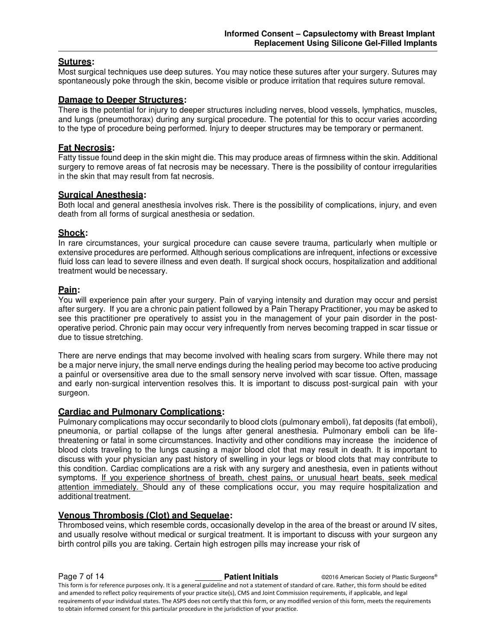# **Sutures:**

Most surgical techniques use deep sutures. You may notice these sutures after your surgery. Sutures may spontaneously poke through the skin, become visible or produce irritation that requires suture removal.

# **Damage to Deeper Structures:**

There is the potential for injury to deeper structures including nerves, blood vessels, lymphatics, muscles, and lungs (pneumothorax) during any surgical procedure. The potential for this to occur varies according to the type of procedure being performed. Injury to deeper structures may be temporary or permanent.

# **Fat Necrosis:**

Fatty tissue found deep in the skin might die. This may produce areas of firmness within the skin. Additional surgery to remove areas of fat necrosis may be necessary. There is the possibility of contour irregularities in the skin that may result from fat necrosis.

# **Surgical Anesthesia:**

Both local and general anesthesia involves risk. There is the possibility of complications, injury, and even death from all forms of surgical anesthesia or sedation.

# **Shock:**

In rare circumstances, your surgical procedure can cause severe trauma, particularly when multiple or extensive procedures are performed. Although serious complications are infrequent, infections or excessive fluid loss can lead to severe illness and even death. If surgical shock occurs, hospitalization and additional treatment would be necessary.

# **Pain:**

You will experience pain after your surgery. Pain of varying intensity and duration may occur and persist after surgery. If you are a chronic pain patient followed by a Pain Therapy Practitioner, you may be asked to see this practitioner pre operatively to assist you in the management of your pain disorder in the postoperative period. Chronic pain may occur very infrequently from nerves becoming trapped in scar tissue or due to tissue stretching.

There are nerve endings that may become involved with healing scars from surgery. While there may not be a major nerve injury, the small nerve endings during the healing period may become too active producing a painful or oversensitive area due to the small sensory nerve involved with scar tissue. Often, massage and early non-surgical intervention resolves this. It is important to discuss post-surgical pain with your surgeon.

### **Cardiac and Pulmonary Complications:**

Pulmonary complications may occur secondarily to blood clots (pulmonary emboli), fat deposits (fat emboli), pneumonia, or partial collapse of the lungs after general anesthesia. Pulmonary emboli can be lifethreatening or fatal in some circumstances. Inactivity and other conditions may increase the incidence of blood clots traveling to the lungs causing a major blood clot that may result in death. It is important to discuss with your physician any past history of swelling in your legs or blood clots that may contribute to this condition. Cardiac complications are a risk with any surgery and anesthesia, even in patients without symptoms. If you experience shortness of breath, chest pains, or unusual heart beats, seek medical attention immediately. Should any of these complications occur, you may require hospitalization and additional treatment.

#### **Venous Thrombosis (Clot) and Sequelae:**

Thrombosed veins, which resemble cords, occasionally develop in the area of the breast or around IV sites, and usually resolve without medical or surgical treatment. It is important to discuss with your surgeon any birth control pills you are taking. Certain high estrogen pills may increase your risk of

**Page 7 of 14 Patient Initials Patient Initials C2016 American Society of Plastic Surgeons®** This form is for reference purposes only. It is a general guideline and not a statement of standard of care. Rather, this form should be edited and amended to reflect policy requirements of your practice site(s), CMS and Joint Commission requirements, if applicable, and legal requirements of your individual states. The ASPS does not certify that this form, or any modified version of this form, meets the requirements to obtain informed consent for this particular procedure in the jurisdiction of your practice.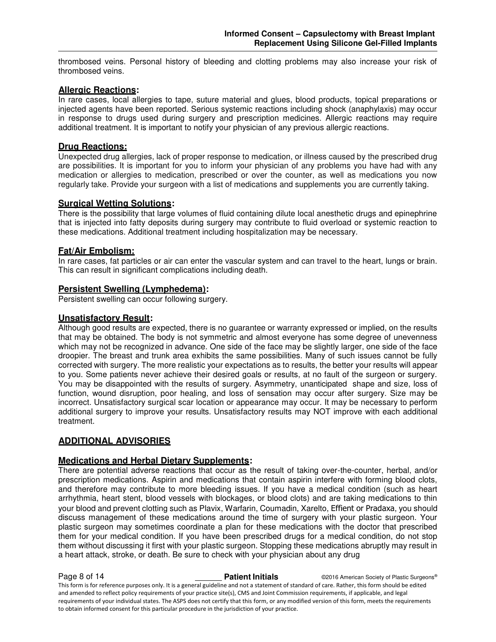thrombosed veins. Personal history of bleeding and clotting problems may also increase your risk of thrombosed veins.

# **Allergic Reactions:**

In rare cases, local allergies to tape, suture material and glues, blood products, topical preparations or injected agents have been reported. Serious systemic reactions including shock (anaphylaxis) may occur in response to drugs used during surgery and prescription medicines. Allergic reactions may require additional treatment. It is important to notify your physician of any previous allergic reactions.

# **Drug Reactions:**

Unexpected drug allergies, lack of proper response to medication, or illness caused by the prescribed drug are possibilities. It is important for you to inform your physician of any problems you have had with any medication or allergies to medication, prescribed or over the counter, as well as medications you now regularly take. Provide your surgeon with a list of medications and supplements you are currently taking.

# **Surgical Wetting Solutions:**

There is the possibility that large volumes of fluid containing dilute local anesthetic drugs and epinephrine that is injected into fatty deposits during surgery may contribute to fluid overload or systemic reaction to these medications. Additional treatment including hospitalization may be necessary.

# **Fat/Air Embolism:**

In rare cases, fat particles or air can enter the vascular system and can travel to the heart, lungs or brain. This can result in significant complications including death.

# **Persistent Swelling (Lymphedema):**

Persistent swelling can occur following surgery.

# **Unsatisfactory Result:**

Although good results are expected, there is no guarantee or warranty expressed or implied, on the results that may be obtained. The body is not symmetric and almost everyone has some degree of unevenness which may not be recognized in advance. One side of the face may be slightly larger, one side of the face droopier. The breast and trunk area exhibits the same possibilities. Many of such issues cannot be fully corrected with surgery. The more realistic your expectations as to results, the better your results will appear to you. Some patients never achieve their desired goals or results, at no fault of the surgeon or surgery. You may be disappointed with the results of surgery. Asymmetry, unanticipated shape and size, loss of function, wound disruption, poor healing, and loss of sensation may occur after surgery. Size may be incorrect. Unsatisfactory surgical scar location or appearance may occur. It may be necessary to perform additional surgery to improve your results. Unsatisfactory results may NOT improve with each additional treatment.

# **ADDITIONAL ADVISORIES**

# **Medications and Herbal Dietary Supplements:**

There are potential adverse reactions that occur as the result of taking over-the-counter, herbal, and/or prescription medications. Aspirin and medications that contain aspirin interfere with forming blood clots, and therefore may contribute to more bleeding issues. If you have a medical condition (such as heart arrhythmia, heart stent, blood vessels with blockages, or blood clots) and are taking medications to thin your blood and prevent clotting such as Plavix, Warfarin, Coumadin, Xarelto, Effient or Pradaxa, you should discuss management of these medications around the time of surgery with your plastic surgeon. Your plastic surgeon may sometimes coordinate a plan for these medications with the doctor that prescribed them for your medical condition. If you have been prescribed drugs for a medical condition, do not stop them without discussing it first with your plastic surgeon. Stopping these medications abruptly may result in a heart attack, stroke, or death. Be sure to check with your physician about any drug

**Page 8 of 14 Patient Initials Patient Initials C2016 American Society of Plastic Surgeons®** This form is for reference purposes only. It is a general guideline and not a statement of standard of care. Rather, this form should be edited and amended to reflect policy requirements of your practice site(s), CMS and Joint Commission requirements, if applicable, and legal requirements of your individual states. The ASPS does not certify that this form, or any modified version of this form, meets the requirements to obtain informed consent for this particular procedure in the jurisdiction of your practice.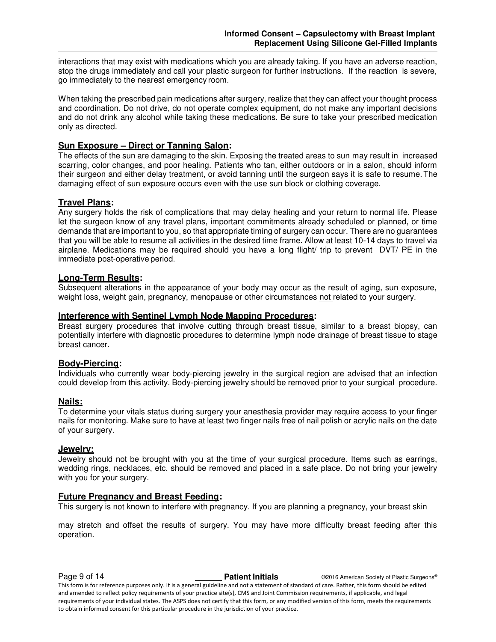interactions that may exist with medications which you are already taking. If you have an adverse reaction, stop the drugs immediately and call your plastic surgeon for further instructions. If the reaction is severe, go immediately to the nearest emergency room.

When taking the prescribed pain medications after surgery, realize that they can affect your thought process and coordination. Do not drive, do not operate complex equipment, do not make any important decisions and do not drink any alcohol while taking these medications. Be sure to take your prescribed medication only as directed.

# **Sun Exposure – Direct or Tanning Salon:**

The effects of the sun are damaging to the skin. Exposing the treated areas to sun may result in increased scarring, color changes, and poor healing. Patients who tan, either outdoors or in a salon, should inform their surgeon and either delay treatment, or avoid tanning until the surgeon says it is safe to resume. The damaging effect of sun exposure occurs even with the use sun block or clothing coverage.

# **Travel Plans:**

Any surgery holds the risk of complications that may delay healing and your return to normal life. Please let the surgeon know of any travel plans, important commitments already scheduled or planned, or time demands that are important to you, so that appropriate timing of surgery can occur. There are no guarantees that you will be able to resume all activities in the desired time frame. Allow at least 10-14 days to travel via airplane. Medications may be required should you have a long flight/ trip to prevent DVT/ PE in the immediate post-operative period.

# **Long-Term Results:**

Subsequent alterations in the appearance of your body may occur as the result of aging, sun exposure, weight loss, weight gain, pregnancy, menopause or other circumstances not related to your surgery.

#### **Interference with Sentinel Lymph Node Mapping Procedures:**

Breast surgery procedures that involve cutting through breast tissue, similar to a breast biopsy, can potentially interfere with diagnostic procedures to determine lymph node drainage of breast tissue to stage breast cancer.

#### **Body-Piercing:**

Individuals who currently wear body-piercing jewelry in the surgical region are advised that an infection could develop from this activity. Body-piercing jewelry should be removed prior to your surgical procedure.

#### **Nails:**

To determine your vitals status during surgery your anesthesia provider may require access to your finger nails for monitoring. Make sure to have at least two finger nails free of nail polish or acrylic nails on the date of your surgery.

# **Jewelry:**

Jewelry should not be brought with you at the time of your surgical procedure. Items such as earrings, wedding rings, necklaces, etc. should be removed and placed in a safe place. Do not bring your jewelry with you for your surgery.

# **Future Pregnancy and Breast Feeding:**

This surgery is not known to interfere with pregnancy. If you are planning a pregnancy, your breast skin

may stretch and offset the results of surgery. You may have more difficulty breast feeding after this operation.

**Page 9 of 14 Patient Initials Patient Initials C2016 American Society of Plastic Surgeons®** This form is for reference purposes only. It is a general guideline and not a statement of standard of care. Rather, this form should be edited and amended to reflect policy requirements of your practice site(s), CMS and Joint Commission requirements, if applicable, and legal

requirements of your individual states. The ASPS does not certify that this form, or any modified version of this form, meets the requirements to obtain informed consent for this particular procedure in the jurisdiction of your practice.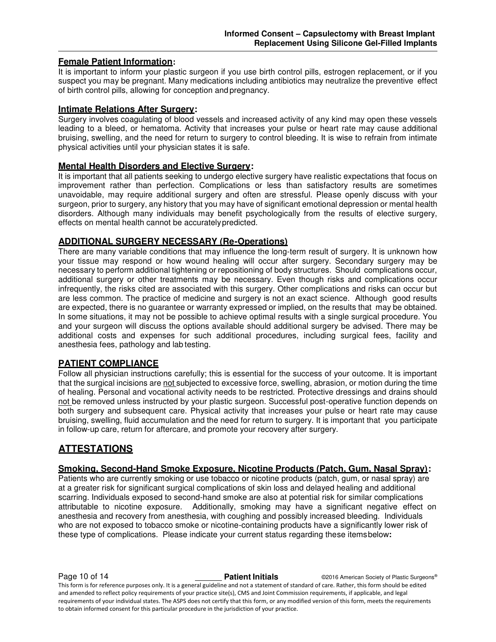# **Female Patient Information:**

It is important to inform your plastic surgeon if you use birth control pills, estrogen replacement, or if you suspect you may be pregnant. Many medications including antibiotics may neutralize the preventive effect of birth control pills, allowing for conception and pregnancy.

# **Intimate Relations After Surgery:**

Surgery involves coagulating of blood vessels and increased activity of any kind may open these vessels leading to a bleed, or hematoma. Activity that increases your pulse or heart rate may cause additional bruising, swelling, and the need for return to surgery to control bleeding. It is wise to refrain from intimate physical activities until your physician states it is safe.

# **Mental Health Disorders and Elective Surgery:**

It is important that all patients seeking to undergo elective surgery have realistic expectations that focus on improvement rather than perfection. Complications or less than satisfactory results are sometimes unavoidable, may require additional surgery and often are stressful. Please openly discuss with your surgeon, prior to surgery, any history that you may have of significant emotional depression or mental health disorders. Although many individuals may benefit psychologically from the results of elective surgery, effects on mental health cannot be accurately predicted.

# **ADDITIONAL SURGERY NECESSARY (Re-Operations)**

There are many variable conditions that may influence the long-term result of surgery. It is unknown how your tissue may respond or how wound healing will occur after surgery. Secondary surgery may be necessary to perform additional tightening or repositioning of body structures. Should complications occur, additional surgery or other treatments may be necessary. Even though risks and complications occur infrequently, the risks cited are associated with this surgery. Other complications and risks can occur but are less common. The practice of medicine and surgery is not an exact science. Although good results are expected, there is no guarantee or warranty expressed or implied, on the results that may be obtained. In some situations, it may not be possible to achieve optimal results with a single surgical procedure. You and your surgeon will discuss the options available should additional surgery be advised. There may be additional costs and expenses for such additional procedures, including surgical fees, facility and anesthesia fees, pathology and lab testing.

# **PATIENT COMPLIANCE**

Follow all physician instructions carefully; this is essential for the success of your outcome. It is important that the surgical incisions are not subjected to excessive force, swelling, abrasion, or motion during the time of healing. Personal and vocational activity needs to be restricted. Protective dressings and drains should not be removed unless instructed by your plastic surgeon. Successful post-operative function depends on both surgery and subsequent care. Physical activity that increases your pulse or heart rate may cause bruising, swelling, fluid accumulation and the need for return to surgery. It is important that you participate in follow-up care, return for aftercare, and promote your recovery after surgery.

# **ATTESTATIONS**

# **Smoking, Second-Hand Smoke Exposure, Nicotine Products (Patch, Gum, Nasal Spray):**

Patients who are currently smoking or use tobacco or nicotine products (patch, gum, or nasal spray) are at a greater risk for significant surgical complications of skin loss and delayed healing and additional scarring. Individuals exposed to second-hand smoke are also at potential risk for similar complications attributable to nicotine exposure. Additionally, smoking may have a significant negative effect on anesthesia and recovery from anesthesia, with coughing and possibly increased bleeding. Individuals who are not exposed to tobacco smoke or nicotine-containing products have a significantly lower risk of these type of complications. Please indicate your current status regarding these items below**:** 

**Page 10 of 14 Patient Initials Patient Initials C2016 American Society of Plastic Surgeons®** This form is for reference purposes only. It is a general guideline and not a statement of standard of care. Rather, this form should be edited and amended to reflect policy requirements of your practice site(s), CMS and Joint Commission requirements, if applicable, and legal requirements of your individual states. The ASPS does not certify that this form, or any modified version of this form, meets the requirements to obtain informed consent for this particular procedure in the jurisdiction of your practice.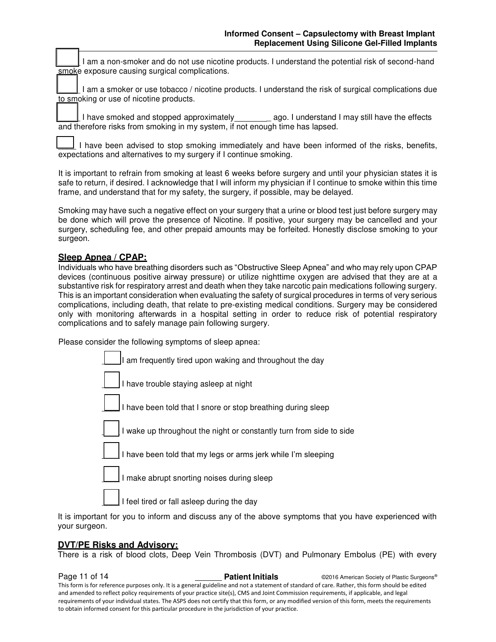I am a non-smoker and do not use nicotine products. I understand the potential risk of second-hand smoke exposure causing surgical complications.

I am a smoker or use tobacco / nicotine products. I understand the risk of surgical complications due to smoking or use of nicotine products.

\_\_\_\_ I have smoked and stopped approximately \_ ago. I understand I may still have the effects and therefore risks from smoking in my system, if not enough time has lapsed.

I have been advised to stop smoking immediately and have been informed of the risks, benefits, expectations and alternatives to my surgery if I continue smoking.

It is important to refrain from smoking at least 6 weeks before surgery and until your physician states it is safe to return, if desired. I acknowledge that I will inform my physician if I continue to smoke within this time frame, and understand that for my safety, the surgery, if possible, may be delayed.

Smoking may have such a negative effect on your surgery that a urine or blood test just before surgery may be done which will prove the presence of Nicotine. If positive, your surgery may be cancelled and your surgery, scheduling fee, and other prepaid amounts may be forfeited. Honestly disclose smoking to your surgeon.

# **Sleep Apnea / CPAP:**

Individuals who have breathing disorders such as "Obstructive Sleep Apnea" and who may rely upon CPAP devices (continuous positive airway pressure) or utilize nighttime oxygen are advised that they are at a substantive risk for respiratory arrest and death when they take narcotic pain medications following surgery. This is an important consideration when evaluating the safety of surgical procedures in terms of very serious complications, including death, that relate to pre-existing medical conditions. Surgery may be considered only with monitoring afterwards in a hospital setting in order to reduce risk of potential respiratory complications and to safely manage pain following surgery.

Please consider the following symptoms of sleep apnea:



It is important for you to inform and discuss any of the above symptoms that you have experienced with your surgeon.

# **DVT/PE Risks and Advisory:**

There is a risk of blood clots, Deep Vein Thrombosis (DVT) and Pulmonary Embolus (PE) with every

**Page 11 of 14 Patient Initials Patient Initials C2016 American Society of Plastic Surgeons®** This form is for reference purposes only. It is a general guideline and not a statement of standard of care. Rather, this form should be edited and amended to reflect policy requirements of your practice site(s), CMS and Joint Commission requirements, if applicable, and legal requirements of your individual states. The ASPS does not certify that this form, or any modified version of this form, meets the requirements to obtain informed consent for this particular procedure in the jurisdiction of your practice.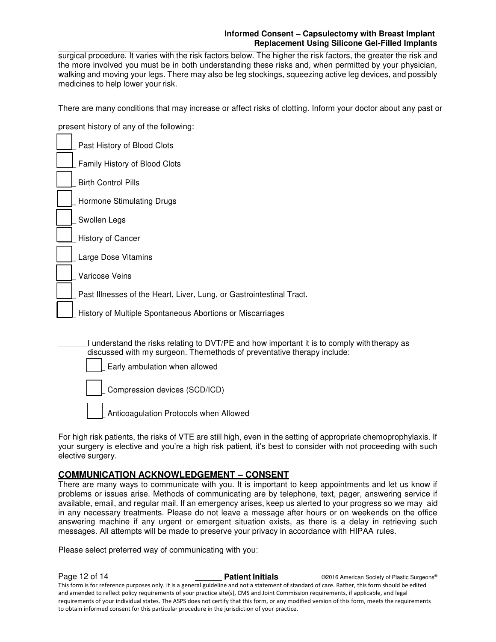# **Informed Consent – Capsulectomy with Breast Implant Replacement Using Silicone Gel-Filled Implants**

surgical procedure. It varies with the risk factors below. The higher the risk factors, the greater the risk and the more involved you must be in both understanding these risks and, when permitted by your physician, walking and moving your legs. There may also be leg stockings, squeezing active leg devices, and possibly medicines to help lower your risk.

There are many conditions that may increase or affect risks of clotting. Inform your doctor about any past or

present history of any of the following:

| Past History of Blood Clots                                                                                                                                                                             |
|---------------------------------------------------------------------------------------------------------------------------------------------------------------------------------------------------------|
|                                                                                                                                                                                                         |
| Family History of Blood Clots                                                                                                                                                                           |
| <b>Birth Control Pills</b>                                                                                                                                                                              |
| Hormone Stimulating Drugs                                                                                                                                                                               |
| Swollen Legs                                                                                                                                                                                            |
| History of Cancer                                                                                                                                                                                       |
| Large Dose Vitamins                                                                                                                                                                                     |
| Varicose Veins                                                                                                                                                                                          |
| Past Illnesses of the Heart, Liver, Lung, or Gastrointestinal Tract.                                                                                                                                    |
| History of Multiple Spontaneous Abortions or Miscarriages                                                                                                                                               |
| I understand the risks relating to DVT/PE and how important it is to comply with therapy as<br>discussed with my surgeon. The methods of preventative therapy include:<br>Early ambulation when allowed |

Compression devices (SCD/ICD)

Anticoagulation Protocols when Allowed

For high risk patients, the risks of VTE are still high, even in the setting of appropriate chemoprophylaxis. If your surgery is elective and you're a high risk patient, it's best to consider with not proceeding with such elective surgery.

# **COMMUNICATION ACKNOWLEDGEMENT – CONSENT**

There are many ways to communicate with you. It is important to keep appointments and let us know if problems or issues arise. Methods of communicating are by telephone, text, pager, answering service if available, email, and regular mail. If an emergency arises, keep us alerted to your progress so we may aid in any necessary treatments. Please do not leave a message after hours or on weekends on the office answering machine if any urgent or emergent situation exists, as there is a delay in retrieving such messages. All attempts will be made to preserve your privacy in accordance with HIPAA rules.

Please select preferred way of communicating with you:

**Page 12 of 14 Patient Initials Patient Initials C2016 American Society of Plastic Surgeons®** This form is for reference purposes only. It is a general guideline and not a statement of standard of care. Rather, this form should be edited and amended to reflect policy requirements of your practice site(s), CMS and Joint Commission requirements, if applicable, and legal requirements of your individual states. The ASPS does not certify that this form, or any modified version of this form, meets the requirements to obtain informed consent for this particular procedure in the jurisdiction of your practice.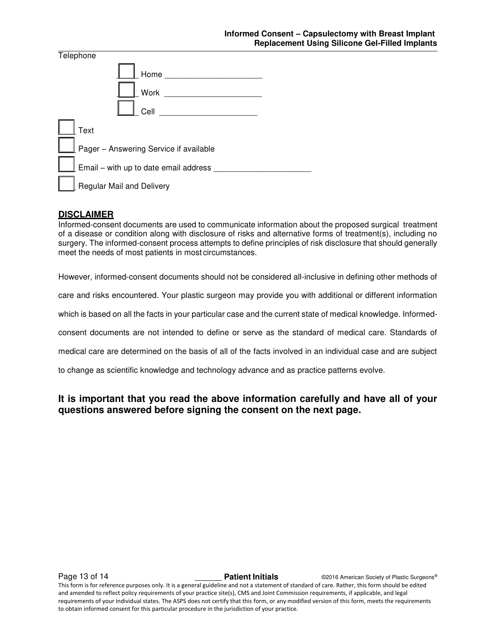| Telephone                              |      |  |
|----------------------------------------|------|--|
|                                        | Home |  |
|                                        | Work |  |
|                                        | Cell |  |
| Text                                   |      |  |
| Pager - Answering Service if available |      |  |
| Email - with up to date email address  |      |  |
| <b>Regular Mail and Delivery</b>       |      |  |

# **DISCLAIMER**

Informed-consent documents are used to communicate information about the proposed surgical treatment of a disease or condition along with disclosure of risks and alternative forms of treatment(s), including no surgery. The informed-consent process attempts to define principles of risk disclosure that should generally meet the needs of most patients in most circumstances.

However, informed-consent documents should not be considered all-inclusive in defining other methods of

care and risks encountered. Your plastic surgeon may provide you with additional or different information

which is based on all the facts in your particular case and the current state of medical knowledge. Informed-

consent documents are not intended to define or serve as the standard of medical care. Standards of

medical care are determined on the basis of all of the facts involved in an individual case and are subject

to change as scientific knowledge and technology advance and as practice patterns evolve.

# **It is important that you read the above information carefully and have all of your questions answered before signing the consent on the next page.**

Page 13 of 14 **Patient Initials** ©2016 American Society of Plastic Surgeons® This form is for reference purposes only. It is a general guideline and not a statement of standard of care. Rather, this form should be edited and amended to reflect policy requirements of your practice site(s), CMS and Joint Commission requirements, if applicable, and legal requirements of your individual states. The ASPS does not certify that this form, or any modified version of this form, meets the requirements to obtain informed consent for this particular procedure in the jurisdiction of your practice.